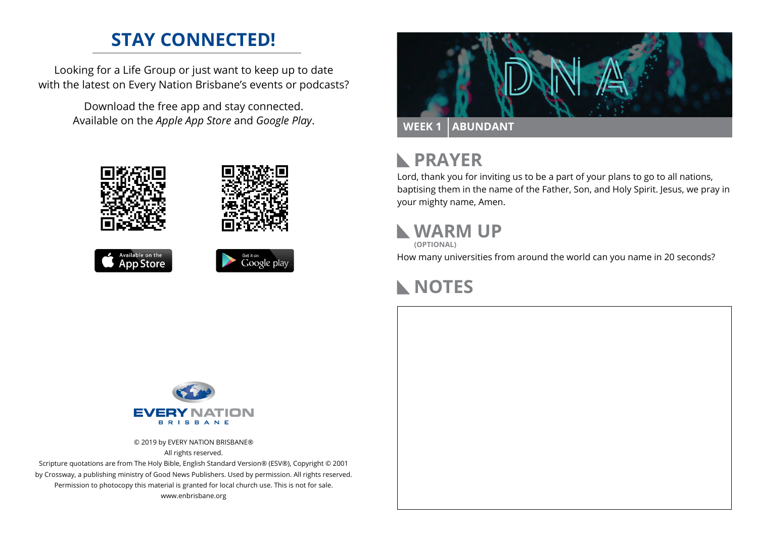#### **STAY CONNECTED!**

Looking for a Life Group or just want to keep up to date with the latest on Every Nation Brisbane's events or podcasts?

> Download the free app and stay connected. Available on the *Apple App Store* and *Google Play*.





```
Available on the<br>App Store
```




## **N** PRAYER

Lord, thank you for inviting us to be a part of your plans to go to all nations, baptising them in the name of the Father, Son, and Holy Spirit. Jesus, we pray in your mighty name, Amen.

### **WARM UP**

**(OPTIONAL)**

How many universities from around the world can you name in 20 seconds?

# **NOTES**



© 2019 by EVERY NATION BRISBANE® All rights reserved.

Scripture quotations are from The Holy Bible, English Standard Version® (ESV®), Copyright © 2001 by Crossway, a publishing ministry of Good News Publishers. Used by permission. All rights reserved. Permission to photocopy this material is granted for local church use. This is not for sale. www.enbrisbane.org